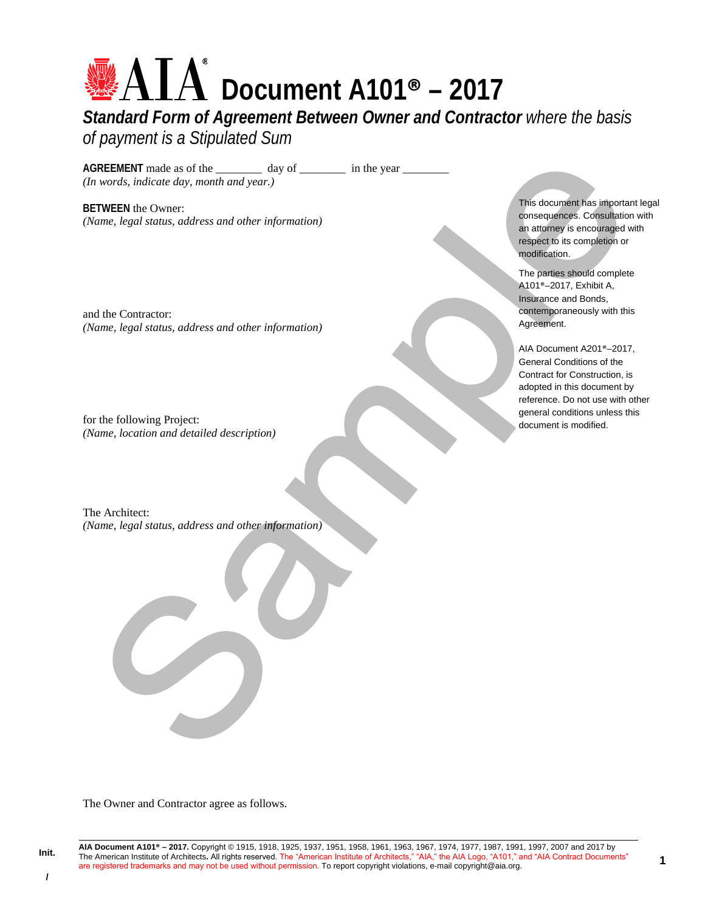# **Document A101® – 2017**

*Standard Form of Agreement Between Owner and Contractor where the basis of payment is a Stipulated Sum* 

AGREEMENT made as of the \_\_\_\_\_\_\_\_\_\_\_ day of \_\_\_\_\_\_\_\_\_\_ in the year \_\_\_\_\_\_\_\_\_\_\_\_\_ *(In words, indicate day, month and year.)* 

**BETWEEN** the Owner: *(Name, legal status, address and other information)* 

and the Contractor: *(Name, legal status, address and other information)* 

for the following Project: *(Name, location and detailed description)* 

The Architect: *(Name, legal status, address and other information)*  This document has important legal consequences. Consultation with an attorney is encouraged with respect to its completion or modification.

The parties should complete A101®–2017, Exhibit A, Insurance and Bonds, contemporaneously with this Agreement.

AIA Document A201®–2017, General Conditions of the Contract for Construction, is adopted in this document by reference. Do not use with other general conditions unless this document is modified.

The Owner and Contractor agree as follows.

**/**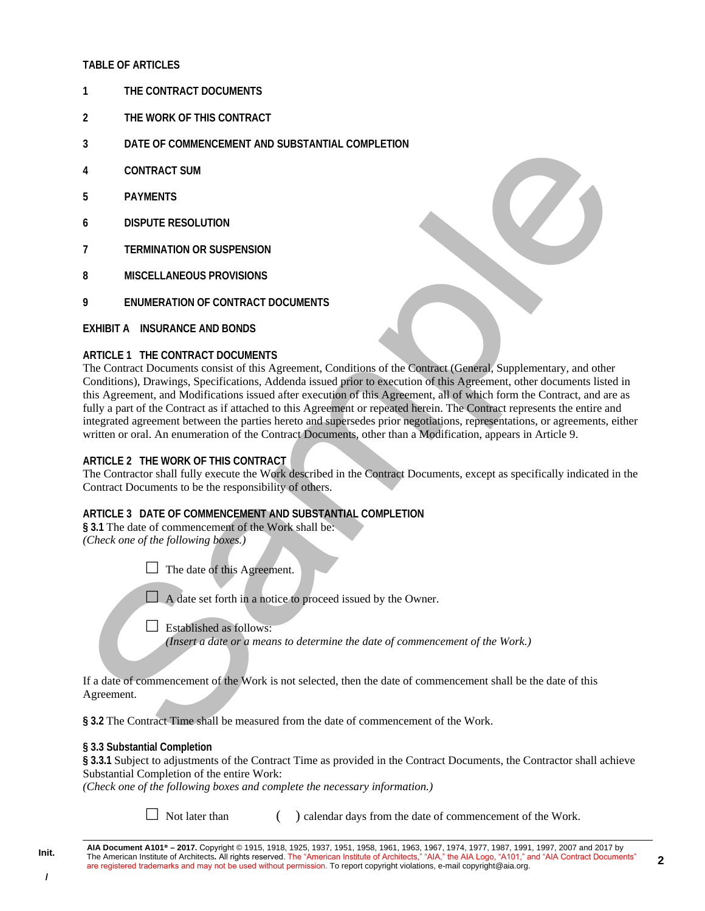## **TABLE OF ARTICLES**

- **1 THE CONTRACT DOCUMENTS**
- **2 THE WORK OF THIS CONTRACT**
- **3 DATE OF COMMENCEMENT AND SUBSTANTIAL COMPLETION**
- **4 CONTRACT SUM**
- **5 PAYMENTS**
- **6 DISPUTE RESOLUTION**
- **7 TERMINATION OR SUSPENSION**
- **8 MISCELLANEOUS PROVISIONS**
- **9 ENUMERATION OF CONTRACT DOCUMENTS**

# **EXHIBIT A INSURANCE AND BONDS**

#### **ARTICLE 1 THE CONTRACT DOCUMENTS**

The Contract Documents consist of this Agreement, Conditions of the Contract (General, Supplementary, and other Conditions), Drawings, Specifications, Addenda issued prior to execution of this Agreement, other documents listed in this Agreement, and Modifications issued after execution of this Agreement, all of which form the Contract, and are as fully a part of the Contract as if attached to this Agreement or repeated herein. The Contract represents the entire and integrated agreement between the parties hereto and supersedes prior negotiations, representations, or agreements, either written or oral. An enumeration of the Contract Documents, other than a Modification, appears in Article 9.

## **ARTICLE 2 THE WORK OF THIS CONTRACT**

The Contractor shall fully execute the Work described in the Contract Documents, except as specifically indicated in the Contract Documents to be the responsibility of others.

# **ARTICLE 3 DATE OF COMMENCEMENT AND SUBSTANTIAL COMPLETION**

**§ 3.1** The date of commencement of the Work shall be: *(Check one of the following boxes.)* 

 $\Box$  The date of this Agreement.

 $\Box$  A date set forth in a notice to proceed issued by the Owner.

 $\Box$  Established as follows:

*(Insert a date or a means to determine the date of commencement of the Work.)* 

If a date of commencement of the Work is not selected, then the date of commencement shall be the date of this Agreement.

**§ 3.2** The Contract Time shall be measured from the date of commencement of the Work.

#### **§ 3.3 Substantial Completion**

**§ 3.3.1** Subject to adjustments of the Contract Time as provided in the Contract Documents, the Contractor shall achieve Substantial Completion of the entire Work:

*(Check one of the following boxes and complete the necessary information.)* 

 $\Box$  Not later than  $\Box$  calendar days from the date of commencement of the Work.

**AIA Document A101® – 2017.** Copyright © 1915, 1918, 1925, 1937, 1951, 1958, 1961, 1963, 1967, 1974, 1977, 1987, 1991, 1997, 2007 and 2017 by The American Institute of Architects**.** All rights reserved. The "American Institute of Architects," "AIA," the AIA Logo, "A101," and "AIA Contract Documents" are registered trademarks and may not be used without permission. To report copyright violations, e-mail copyright@aia.org.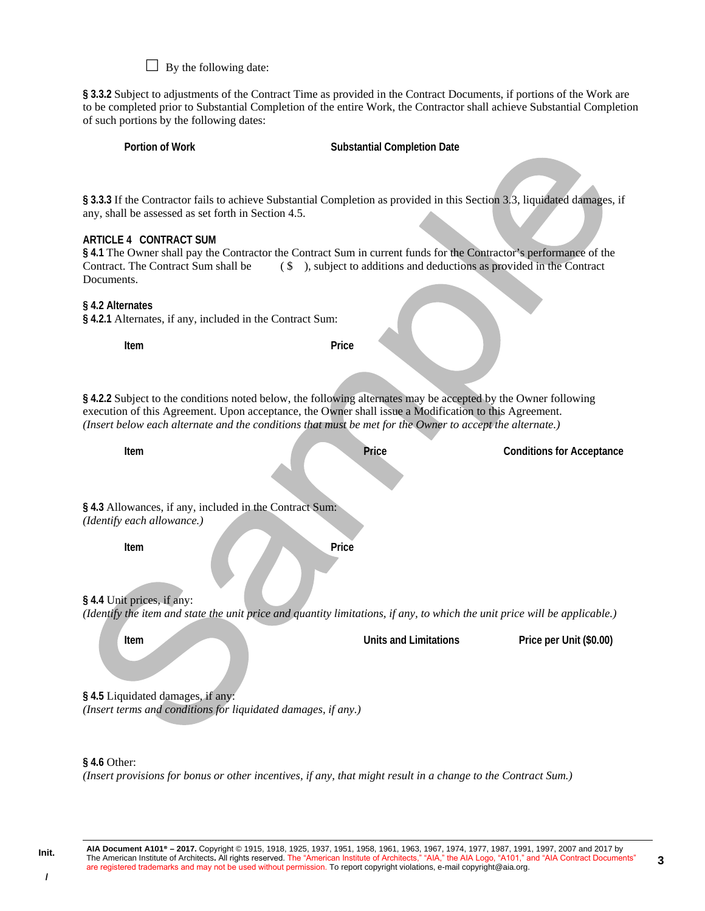$\Box$  By the following date:

**§ 3.3.2** Subject to adjustments of the Contract Time as provided in the Contract Documents, if portions of the Work are to be completed prior to Substantial Completion of the entire Work, the Contractor shall achieve Substantial Completion of such portions by the following dates:

| Portion of Work                                                                                                                    | <b>Substantial Completion Date</b>                                                                                                                                                                                                                                                                                                        |                                  |  |
|------------------------------------------------------------------------------------------------------------------------------------|-------------------------------------------------------------------------------------------------------------------------------------------------------------------------------------------------------------------------------------------------------------------------------------------------------------------------------------------|----------------------------------|--|
| any, shall be assessed as set forth in Section 4.5.<br>ARTICLE 4 CONTRACT SUM<br>Contract. The Contract Sum shall be<br>Documents. | § 3.3.3 If the Contractor fails to achieve Substantial Completion as provided in this Section 3.3, liquidated damages, if<br>§ 4.1 The Owner shall pay the Contractor the Contract Sum in current funds for the Contractor's performance of the<br>$(\$ $\Diamond$ $\)$ , subject to additions and deductions as provided in the Contract |                                  |  |
| § 4.2 Alternates<br>§ 4.2.1 Alternates, if any, included in the Contract Sum:                                                      |                                                                                                                                                                                                                                                                                                                                           |                                  |  |
| Item                                                                                                                               | Price                                                                                                                                                                                                                                                                                                                                     |                                  |  |
|                                                                                                                                    | § 4.2.2 Subject to the conditions noted below, the following alternates may be accepted by the Owner following<br>execution of this Agreement. Upon acceptance, the Owner shall issue a Modification to this Agreement.<br>(Insert below each alternate and the conditions that must be met for the Owner to accept the alternate.)       |                                  |  |
| Item                                                                                                                               | Price                                                                                                                                                                                                                                                                                                                                     | <b>Conditions for Acceptance</b> |  |
| § 4.3 Allowances, if any, included in the Contract Sum:<br>(Identify each allowance.)                                              |                                                                                                                                                                                                                                                                                                                                           |                                  |  |
| Item                                                                                                                               | Price                                                                                                                                                                                                                                                                                                                                     |                                  |  |
| § 4.4 Unit prices, if any:                                                                                                         | (Identify the item and state the unit price and quantity limitations, if any, to which the unit price will be applicable.)                                                                                                                                                                                                                |                                  |  |
| Item                                                                                                                               | <b>Units and Limitations</b>                                                                                                                                                                                                                                                                                                              | Price per Unit (\$0.00)          |  |
| §4.5 Liquidated damages, if any:<br>(Insert terms and conditions for liquidated damages, if any.)                                  |                                                                                                                                                                                                                                                                                                                                           |                                  |  |

*(Insert provisions for bonus or other incentives, if any, that might result in a change to the Contract Sum.)* 

**/**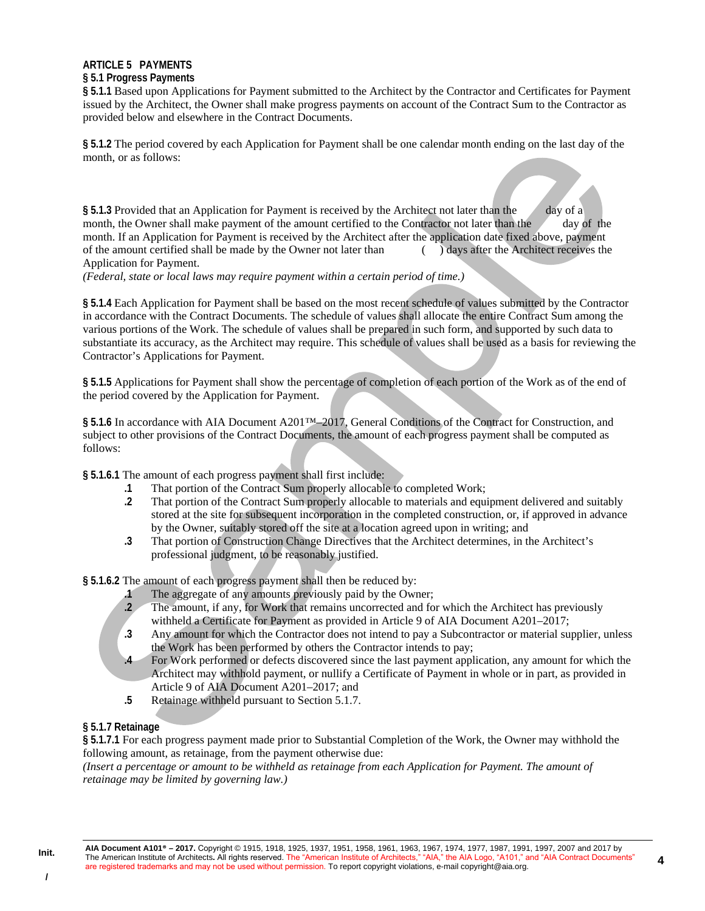# **ARTICLE 5 PAYMENTS**

### **§ 5.1 Progress Payments**

**§ 5.1.1** Based upon Applications for Payment submitted to the Architect by the Contractor and Certificates for Payment issued by the Architect, the Owner shall make progress payments on account of the Contract Sum to the Contractor as provided below and elsewhere in the Contract Documents.

**§ 5.1.2** The period covered by each Application for Payment shall be one calendar month ending on the last day of the month, or as follows:

**§ 5.1.3** Provided that an Application for Payment is received by the Architect not later than the day of a month, the Owner shall make payment of the amount certified to the Contractor not later than the day of the month. If an Application for Payment is received by the Architect after the application date fixed above, payment of the amount certified shall be made by the Owner not later than ( ) days after the Architect receives the Application for Payment.

*(Federal, state or local laws may require payment within a certain period of time.)*

**§ 5.1.4** Each Application for Payment shall be based on the most recent schedule of values submitted by the Contractor in accordance with the Contract Documents. The schedule of values shall allocate the entire Contract Sum among the various portions of the Work. The schedule of values shall be prepared in such form, and supported by such data to substantiate its accuracy, as the Architect may require. This schedule of values shall be used as a basis for reviewing the Contractor's Applications for Payment.

**§ 5.1.5** Applications for Payment shall show the percentage of completion of each portion of the Work as of the end of the period covered by the Application for Payment.

§ 5.1.6 In accordance with AIA Document A201<sup>™</sup>–2017, General Conditions of the Contract for Construction, and subject to other provisions of the Contract Documents, the amount of each progress payment shall be computed as follows:

**§ 5.1.6.1** The amount of each progress payment shall first include:

- **.1** That portion of the Contract Sum properly allocable to completed Work;
- **.2** That portion of the Contract Sum properly allocable to materials and equipment delivered and suitably stored at the site for subsequent incorporation in the completed construction, or, if approved in advance by the Owner, suitably stored off the site at a location agreed upon in writing; and
- **.3** That portion of Construction Change Directives that the Architect determines, in the Architect's professional judgment, to be reasonably justified.

**§ 5.1.6.2** The amount of each progress payment shall then be reduced by:

- **.1** The aggregate of any amounts previously paid by the Owner;
- **.2** The amount, if any, for Work that remains uncorrected and for which the Architect has previously withheld a Certificate for Payment as provided in Article 9 of AIA Document A201–2017;
- **.3** Any amount for which the Contractor does not intend to pay a Subcontractor or material supplier, unless the Work has been performed by others the Contractor intends to pay;
- **.4** For Work performed or defects discovered since the last payment application, any amount for which the Architect may withhold payment, or nullify a Certificate of Payment in whole or in part, as provided in Article 9 of AIA Document A201–2017; and
- **.5** Retainage withheld pursuant to Section 5.1.7.

# **§ 5.1.7 Retainage**

**§ 5.1.7.1** For each progress payment made prior to Substantial Completion of the Work, the Owner may withhold the following amount, as retainage, from the payment otherwise due:

*(Insert a percentage or amount to be withheld as retainage from each Application for Payment. The amount of retainage may be limited by governing law.)*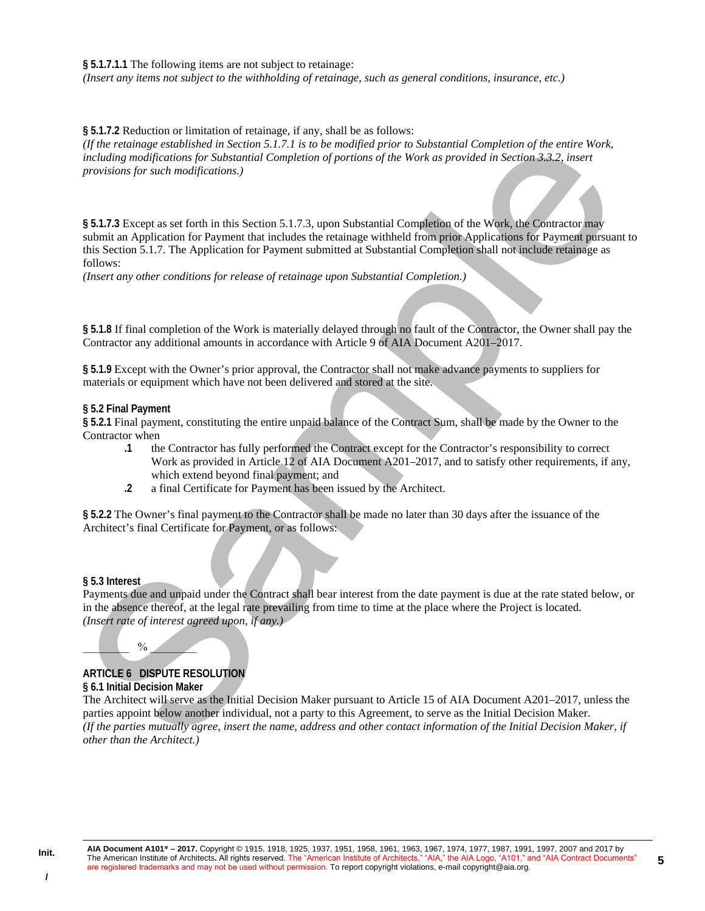#### **§ 5.1.7.1.1** The following items are not subject to retainage:

*(Insert any items not subject to the withholding of retainage, such as general conditions, insurance, etc.)* 

**§ 5.1.7.2** Reduction or limitation of retainage, if any, shall be as follows:

*(If the retainage established in Section 5.1.7.1 is to be modified prior to Substantial Completion of the entire Work, including modifications for Substantial Completion of portions of the Work as provided in Section 3.3.2, insert provisions for such modifications.)* 

**§ 5.1.7.3** Except as set forth in this Section 5.1.7.3, upon Substantial Completion of the Work, the Contractor may submit an Application for Payment that includes the retainage withheld from prior Applications for Payment pursuant to this Section 5.1.7. The Application for Payment submitted at Substantial Completion shall not include retainage as follows:

*(Insert any other conditions for release of retainage upon Substantial Completion.)* 

**§ 5.1.8** If final completion of the Work is materially delayed through no fault of the Contractor, the Owner shall pay the Contractor any additional amounts in accordance with Article 9 of AIA Document A201–2017.

**§ 5.1.9** Except with the Owner's prior approval, the Contractor shall not make advance payments to suppliers for materials or equipment which have not been delivered and stored at the site.

#### **§ 5.2 Final Payment**

**§ 5.2.1** Final payment, constituting the entire unpaid balance of the Contract Sum, shall be made by the Owner to the Contractor when

- **.1** the Contractor has fully performed the Contract except for the Contractor's responsibility to correct Work as provided in Article 12 of AIA Document A201–2017, and to satisfy other requirements, if any, which extend beyond final payment; and
- **.2** a final Certificate for Payment has been issued by the Architect.

**§ 5.2.2** The Owner's final payment to the Contractor shall be made no later than 30 days after the issuance of the Architect's final Certificate for Payment, or as follows:

#### **§ 5.3 Interest**

Payments due and unpaid under the Contract shall bear interest from the date payment is due at the rate stated below, or in the absence thereof, at the legal rate prevailing from time to time at the place where the Project is located. *(Insert rate of interest agreed upon, if any.)* 

# **ARTICLE 6 DISPUTE RESOLUTION**

## **§ 6.1 Initial Decision Maker**

 $\frac{0}{2}$ 

The Architect will serve as the Initial Decision Maker pursuant to Article 15 of AIA Document A201–2017, unless the parties appoint below another individual, not a party to this Agreement, to serve as the Initial Decision Maker. *(If the parties mutually agree, insert the name, address and other contact information of the Initial Decision Maker, if other than the Architect.)*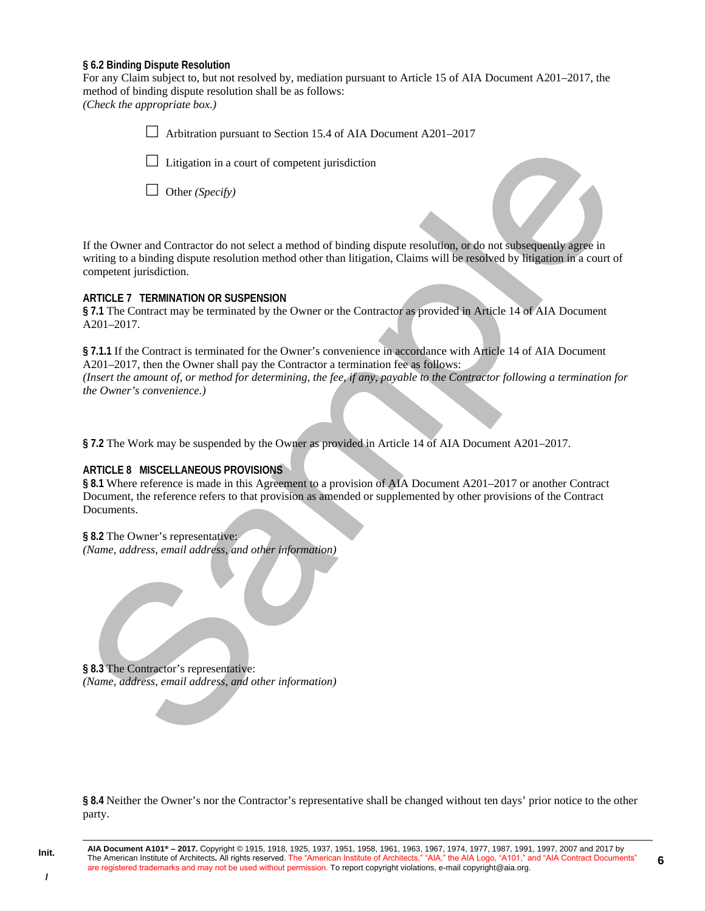#### **§ 6.2 Binding Dispute Resolution**

For any Claim subject to, but not resolved by, mediation pursuant to Article 15 of AIA Document A201–2017, the method of binding dispute resolution shall be as follows: *(Check the appropriate box.)* 

> Arbitration pursuant to Section 15.4 of AIA Document A201–2017  $\Box$  Litigation in a court of competent jurisdiction Other *(Specify)*

If the Owner and Contractor do not select a method of binding dispute resolution, or do not subsequently agree in writing to a binding dispute resolution method other than litigation, Claims will be resolved by litigation in a court of competent jurisdiction.

#### **ARTICLE 7 TERMINATION OR SUSPENSION**

**§ 7.1** The Contract may be terminated by the Owner or the Contractor as provided in Article 14 of AIA Document A201–2017.

**§ 7.1.1** If the Contract is terminated for the Owner's convenience in accordance with Article 14 of AIA Document A201–2017, then the Owner shall pay the Contractor a termination fee as follows: *(Insert the amount of, or method for determining, the fee, if any, payable to the Contractor following a termination for the Owner's convenience.)* 

**§ 7.2** The Work may be suspended by the Owner as provided in Article 14 of AIA Document A201–2017.

## **ARTICLE 8 MISCELLANEOUS PROVISIONS**

**§ 8.1** Where reference is made in this Agreement to a provision of AIA Document A201–2017 or another Contract Document, the reference refers to that provision as amended or supplemented by other provisions of the Contract Documents.

## **§ 8.2** The Owner's representative:

*(Name, address, email address, and other information)* 

**§ 8.3** The Contractor's representative: *(Name, address, email address, and other information)* 

**§ 8.4** Neither the Owner's nor the Contractor's representative shall be changed without ten days' prior notice to the other party.

**6**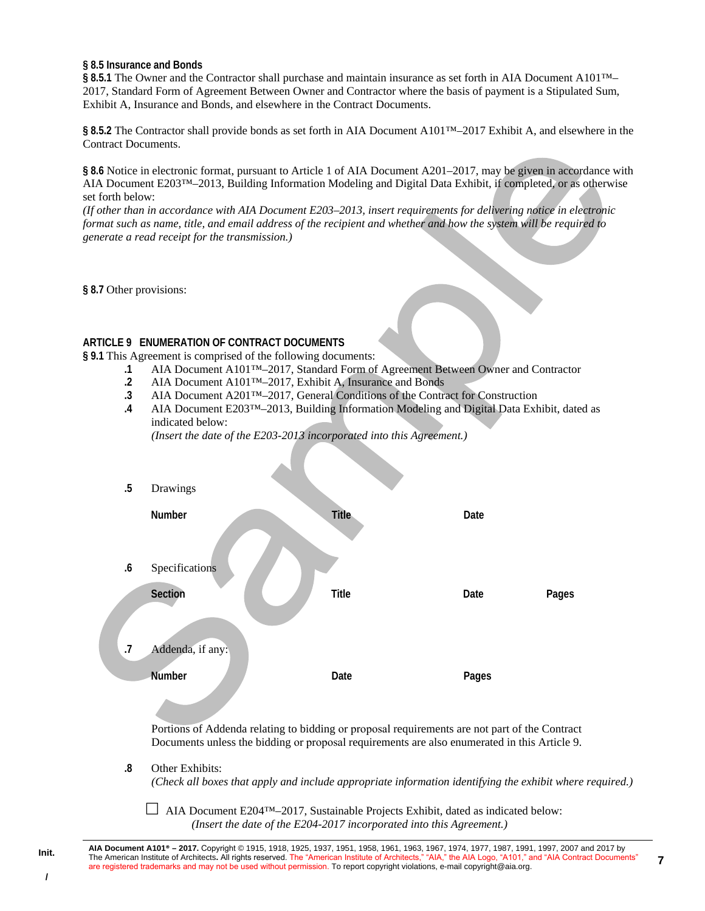#### **§ 8.5 Insurance and Bonds**

§ 8.5.1 The Owner and the Contractor shall purchase and maintain insurance as set forth in AIA Document A101™– 2017, Standard Form of Agreement Between Owner and Contractor where the basis of payment is a Stipulated Sum, Exhibit A, Insurance and Bonds, and elsewhere in the Contract Documents.

§ 8.5.2 The Contractor shall provide bonds as set forth in AIA Document A101<sup>™</sup>–2017 Exhibit A, and elsewhere in the Contract Documents.

**§ 8.6** Notice in electronic format, pursuant to Article 1 of AIA Document A201–2017, may be given in accordance with AIA Document E203™–2013, Building Information Modeling and Digital Data Exhibit, if completed, or as otherwise set forth below:

*(If other than in accordance with AIA Document E203–2013, insert requirements for delivering notice in electronic format such as name, title, and email address of the recipient and whether and how the system will be required to generate a read receipt for the transmission.)* 

**§ 8.7** Other provisions:

# **ARTICLE 9 ENUMERATION OF CONTRACT DOCUMENTS**

**§ 9.1** This Agreement is comprised of the following documents:

- **.1** AIA Document A101™–2017, Standard Form of Agreement Between Owner and Contractor
- **.2** AIA Document A101™–2017, Exhibit A, Insurance and Bonds
- **.3** AIA Document A201™–2017, General Conditions of the Contract for Construction
- **.4** AIA Document E203™–2013, Building Information Modeling and Digital Data Exhibit, dated as indicated below:

*(Insert the date of the E203-2013 incorporated into this Agreement.)* 

| $.5\,$         | Drawings                                                                                                                                                                                                         |              |       |       |
|----------------|------------------------------------------------------------------------------------------------------------------------------------------------------------------------------------------------------------------|--------------|-------|-------|
|                | Number                                                                                                                                                                                                           | <b>Title</b> | Date  |       |
| .6             | Specifications                                                                                                                                                                                                   |              |       |       |
|                | Section                                                                                                                                                                                                          | <b>Title</b> | Date  | Pages |
| $\overline{J}$ | Addenda, if any:<br><b>Number</b>                                                                                                                                                                                | Date         | Pages |       |
| 8.             | Portions of Addenda relating to bidding or proposal requirements are not part of the Contract<br>Documents unless the bidding or proposal requirements are also enumerated in this Article 9.<br>Other Exhibits: |              |       |       |
|                | (Check all boxes that apply and include appropriate information identifying the exhibit where required.)<br>AIA Document E204 <sup>TM</sup> -2017, Sustainable Projects Exhibit, dated as indicated below:       |              |       |       |

*(Insert the date of the E204-2017 incorporated into this Agreement.)* 

**AIA Document A101® – 2017.** Copyright © 1915, 1918, 1925, 1937, 1951, 1958, 1961, 1963, 1967, 1974, 1977, 1987, 1991, 1997, 2007 and 2017 by The American Institute of Architects**.** All rights reserved. The "American Institute of Architects," "AIA," the AIA Logo, "A101," and "AIA Contract Documents" are registered trademarks and may not be used without permission. To report copyright violations, e-mail copyright@aia.org.